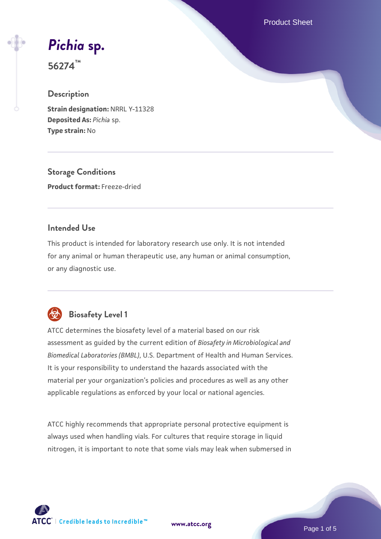Product Sheet

*[Pichia](https://www.atcc.org/products/56274)* **[sp.](https://www.atcc.org/products/56274)**

**56274™**

#### **Description**

**Strain designation:** NRRL Y-11328 **Deposited As:** *Pichia* sp. **Type strain:** No

**Storage Conditions Product format:** Freeze-dried

### **Intended Use**

This product is intended for laboratory research use only. It is not intended for any animal or human therapeutic use, any human or animal consumption, or any diagnostic use.



# **Biosafety Level 1**

ATCC determines the biosafety level of a material based on our risk assessment as guided by the current edition of *Biosafety in Microbiological and Biomedical Laboratories (BMBL)*, U.S. Department of Health and Human Services. It is your responsibility to understand the hazards associated with the material per your organization's policies and procedures as well as any other applicable regulations as enforced by your local or national agencies.

ATCC highly recommends that appropriate personal protective equipment is always used when handling vials. For cultures that require storage in liquid nitrogen, it is important to note that some vials may leak when submersed in

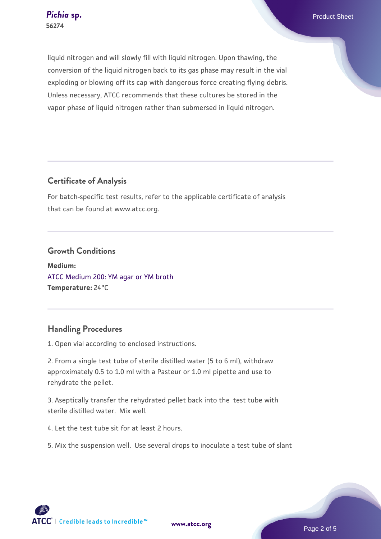liquid nitrogen and will slowly fill with liquid nitrogen. Upon thawing, the conversion of the liquid nitrogen back to its gas phase may result in the vial exploding or blowing off its cap with dangerous force creating flying debris. Unless necessary, ATCC recommends that these cultures be stored in the vapor phase of liquid nitrogen rather than submersed in liquid nitrogen.

# **Certificate of Analysis**

For batch-specific test results, refer to the applicable certificate of analysis that can be found at www.atcc.org.

#### **Growth Conditions**

**Medium:**  [ATCC Medium 200: YM agar or YM broth](https://www.atcc.org/-/media/product-assets/documents/microbial-media-formulations/2/0/0/atcc-medium-200.pdf?rev=ac40fd74dc13433a809367b0b9da30fc) **Temperature:** 24°C

## **Handling Procedures**

1. Open vial according to enclosed instructions.

2. From a single test tube of sterile distilled water (5 to 6 ml), withdraw approximately 0.5 to 1.0 ml with a Pasteur or 1.0 ml pipette and use to rehydrate the pellet.

3. Aseptically transfer the rehydrated pellet back into the test tube with sterile distilled water. Mix well.

4. Let the test tube sit for at least 2 hours.

5. Mix the suspension well. Use several drops to inoculate a test tube of slant

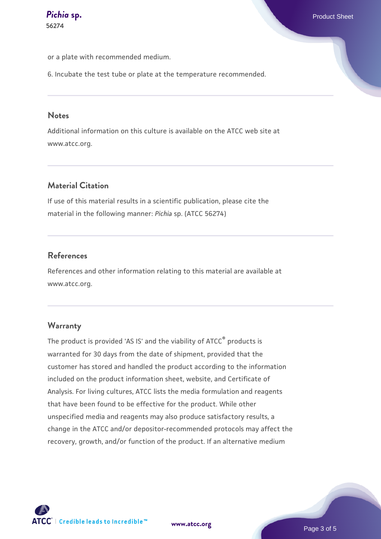or a plate with recommended medium.

6. Incubate the test tube or plate at the temperature recommended.

#### **Notes**

Additional information on this culture is available on the ATCC web site at www.atcc.org.

#### **Material Citation**

If use of this material results in a scientific publication, please cite the material in the following manner: *Pichia* sp. (ATCC 56274)

#### **References**

References and other information relating to this material are available at www.atcc.org.

#### **Warranty**

The product is provided 'AS IS' and the viability of ATCC® products is warranted for 30 days from the date of shipment, provided that the customer has stored and handled the product according to the information included on the product information sheet, website, and Certificate of Analysis. For living cultures, ATCC lists the media formulation and reagents that have been found to be effective for the product. While other unspecified media and reagents may also produce satisfactory results, a change in the ATCC and/or depositor-recommended protocols may affect the recovery, growth, and/or function of the product. If an alternative medium

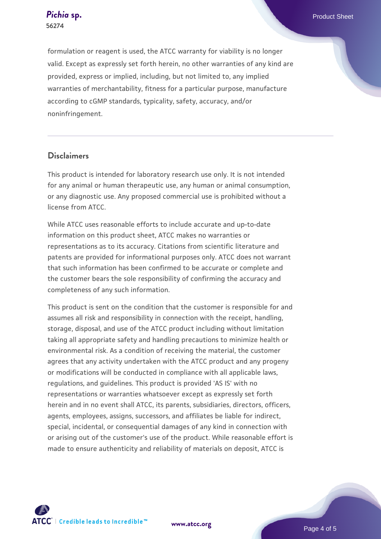**56274**

formulation or reagent is used, the ATCC warranty for viability is no longer valid. Except as expressly set forth herein, no other warranties of any kind are provided, express or implied, including, but not limited to, any implied warranties of merchantability, fitness for a particular purpose, manufacture according to cGMP standards, typicality, safety, accuracy, and/or noninfringement.

### **Disclaimers**

This product is intended for laboratory research use only. It is not intended for any animal or human therapeutic use, any human or animal consumption, or any diagnostic use. Any proposed commercial use is prohibited without a license from ATCC.

While ATCC uses reasonable efforts to include accurate and up-to-date information on this product sheet, ATCC makes no warranties or representations as to its accuracy. Citations from scientific literature and patents are provided for informational purposes only. ATCC does not warrant that such information has been confirmed to be accurate or complete and the customer bears the sole responsibility of confirming the accuracy and completeness of any such information.

This product is sent on the condition that the customer is responsible for and assumes all risk and responsibility in connection with the receipt, handling, storage, disposal, and use of the ATCC product including without limitation taking all appropriate safety and handling precautions to minimize health or environmental risk. As a condition of receiving the material, the customer agrees that any activity undertaken with the ATCC product and any progeny or modifications will be conducted in compliance with all applicable laws, regulations, and guidelines. This product is provided 'AS IS' with no representations or warranties whatsoever except as expressly set forth herein and in no event shall ATCC, its parents, subsidiaries, directors, officers, agents, employees, assigns, successors, and affiliates be liable for indirect, special, incidental, or consequential damages of any kind in connection with or arising out of the customer's use of the product. While reasonable effort is made to ensure authenticity and reliability of materials on deposit, ATCC is



*[Pichia](https://www.atcc.org/products/56274)* **[sp.](https://www.atcc.org/products/56274)** Product Sheet